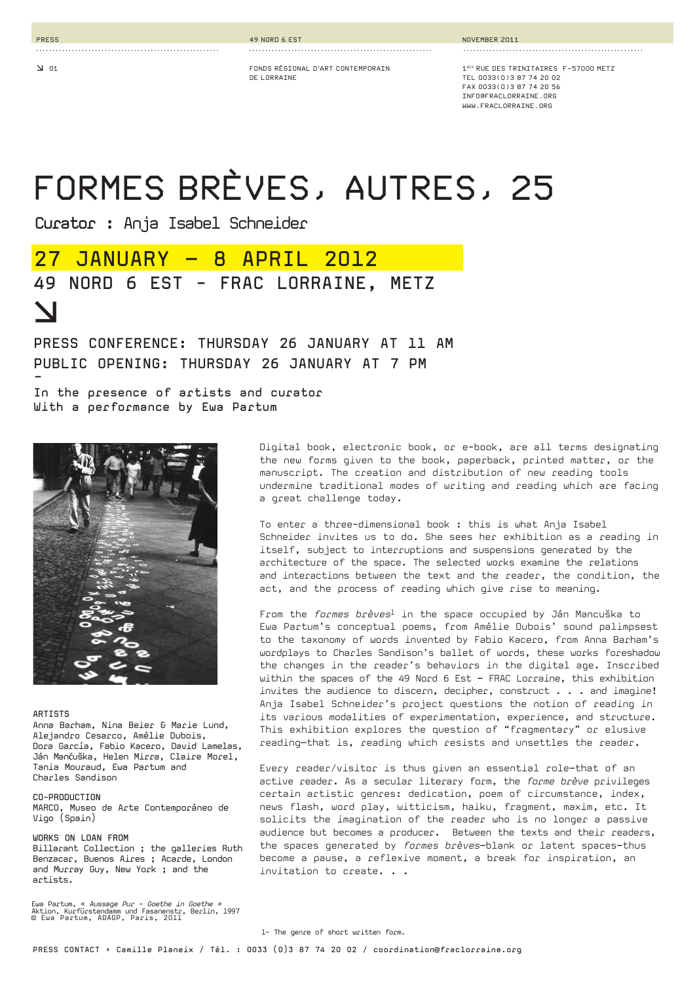**PRESS**

**.......................................................** 

**FONDS RÉGIONAL D'ART CONTEMPORAIN DE LORRAINE**

**........................................................** 

**1BIS RUE DES TRINITAIRES F-57000 METZ TEL 0033(0)3 87 74 20 02 FAX 0033(0)3 87 74 20 56INFO@FRACLORRAINE.ORGWWW.FRACLORRAINE.ORG**

# **FORMES BRÈVES, AUTRES, 25**

**Curator :** Anja Isabel Schneider

**........................................................** 

## **27 JANUARY – 8 APRIL 2012 49 NORD 6 EST - FRAC LORRAINE, METZ d**

### **PRESS CONFERENCE: THURSDAY 26 JANUARY AT 11 AM PUBLIC OPENING: THURSDAY 26 JANUARY AT 7 PM -**

**In the presence of artists and curator With a performance by Ewa Partum**



#### **ARTISTS**

Anna Barham, Nina Beier & Marie Lund, Alejandro Cesarco, Amélie Dubois, Dora García, Fabio Kacero, David Lamelas, Ján Mančuška, Helen Mirra, Claire Morel, Tania Mouraud, Ewa Partum and Charles Sandison

#### **CO-PRODUCTION**

MARCO, Museo de Arte Contemporáneo de Vigo (Spain)

#### **WORKS ON LOAN FROM**

Billarant Collection ; the galleries Ruth Benzacar, Buenos Aires ; Acarde, London and Murray Guy, New York ; and the artists.

Ewa Partum, « *Aussage Pur - Goethe in Goethe »*<br>Aktion, Kurfürstendamm und Fasanenstr, Berlin, 1997<br>© Ewa Partum, ADAGP, Paris, 2011

Digital book, electronic book, or e-book, are all terms designating the new forms given to the book, paperback, printed matter, or the manuscript. The creation and distribution of new reading tools undermine traditional modes of writing and reading which are facing a great challenge today.

To enter a three-dimensional book : this is what Anja Isabel Schneider invites us to do. She sees her exhibition as a reading in itself, subject to interruptions and suspensions generated by the architecture of the space. The selected works examine the relations and interactions between the text and the reader, the condition, the act, and the process of reading which give rise to meaning.

From the *formes brèves*1 in the space occupied by Ján Mancuška to Ewa Partum's conceptual poems, from Amélie Dubois' sound palimpsest to the taxonomy of words invented by Fabio Kacero, from Anna Barham's wordplays to Charles Sandison's ballet of words, these works foreshadow the changes in the reader's behaviors in the digital age. Inscribed within the spaces of the 49 Nord 6 Est – FRAC Lorraine, this exhibition invites the audience to discern, decipher, construct . . . and imagine! Anja Isabel Schneider's project questions the notion of reading in its various modalities of experimentation, experience, and structure. This exhibition explores the question of "fragmentary" or elusive reading—that is, reading which resists and unsettles the reader.

Every reader/visitor is thus given an essential role–that of an active reader. As a secular literary form, the *forme brève* privileges certain artistic genres: dedication, poem of circumstance, index, news flash, word play, witticism, haiku, fragment, maxim, etc. It solicits the imagination of the reader who is no longer a passive audience but becomes a producer. Between the texts and their readers, the spaces generated by *formes brèves*–blank or latent spaces–thus become a pause, a reflexive moment, a break for inspiration, an invitation to create. . .

1- The genre of short written form.